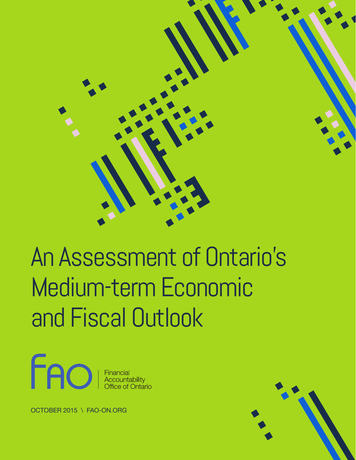

# An Assessment of Ontario's Medium-term Economic and Fiscal Outlook



OCTOBER 2015 \ FAO-ON.ORG

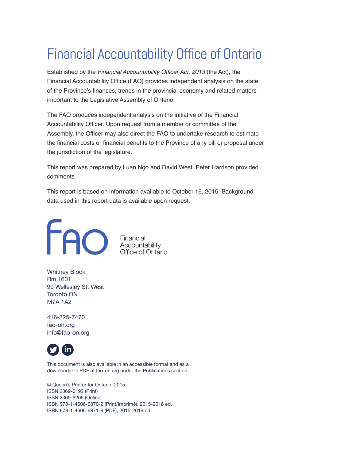# Financial Accountability Office of Ontario

Established by the *Financial Accountability Officer Act, 2013* (the Act), the Financial Accountability Office (FAO) provides independent analysis on the state of the Province's finances, trends in the provincial economy and related matters important to the Legislative Assembly of Ontario.

The FAO produces independent analysis on the initiative of the Financial Accountability Officer. Upon request from a member or committee of the Assembly, the Officer may also direct the FAO to undertake research to estimate the financial costs or financial benefits to the Province of any bill or proposal under the jurisdiction of the legislature.

This report was prepared by Luan Ngo and David West. Peter Harrison provided comments.

This report is based on information available to October 16, 2015. Background data used in this report data is available upon request.



Whitney Block Rm 1601 99 Wellesley St. West Toronto ON M7A 1A2

416-325-7470 fao-on.org info@fao-on.org



This document is also available in an accessible format and as a downloadable PDF at fao-on.org under the Publications section.

© Queen's Printer for Ontario, 2015 ISSN 2369-6192 (Print) ISSN 2369-6206 (Online) ISBN 978-1-4606-6870-2 (Print/Imprimé), 2015-2016 ed. ISBN 978-1-4606-6871-9 (PDF), 2015-2016 ed.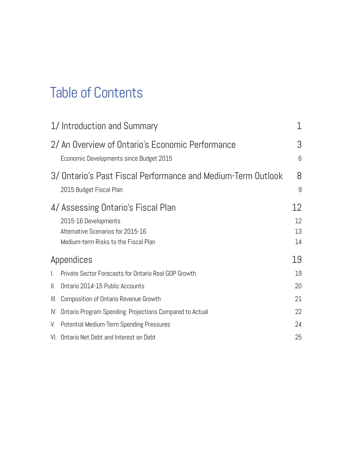# Table of Contents

|               | 1/Introduction and Summary                                                                                                              | 1                    |
|---------------|-----------------------------------------------------------------------------------------------------------------------------------------|----------------------|
|               | 2/ An Overview of Ontario's Economic Performance<br>Economic Developments since Budget 2015                                             | 3<br>6               |
|               | 3/ Ontario's Past Fiscal Performance and Medium-Term Outlook<br>2015 Budget Fiscal Plan                                                 | 8<br>9               |
|               | 4/ Assessing Ontario's Fiscal Plan<br>2015-16 Developments<br>Alternative Scenarios for 2015-16<br>Medium-term Risks to the Fiscal Plan | 12<br>12<br>13<br>14 |
|               | Appendices                                                                                                                              | 19                   |
| I.            | Private Sector Forecasts for Ontario Real GDP Growth                                                                                    | 19                   |
| $\parallel$ . | Ontario 2014-15 Public Accounts                                                                                                         | 20                   |
| III.          | Composition of Ontario Revenue Growth                                                                                                   | 21                   |
| IV.           | Ontario Program Spending: Projections Compared to Actual                                                                                | 22                   |
| V.            | <b>Potential Medium-Term Spending Pressures</b>                                                                                         | 24                   |
|               | VI. Ontario Net Debt and Interest on Debt                                                                                               | 25                   |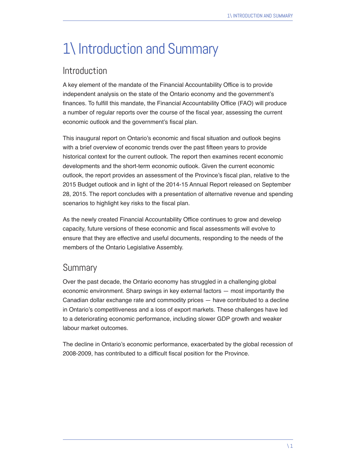# 1\ Introduction and Summary

### Introduction

A key element of the mandate of the Financial Accountability Office is to provide independent analysis on the state of the Ontario economy and the government's finances. To fulfill this mandate, the Financial Accountability Office (FAO) will produce a number of regular reports over the course of the fiscal year, assessing the current economic outlook and the government's fiscal plan.

This inaugural report on Ontario's economic and fiscal situation and outlook begins with a brief overview of economic trends over the past fifteen years to provide historical context for the current outlook. The report then examines recent economic developments and the short-term economic outlook. Given the current economic outlook, the report provides an assessment of the Province's fiscal plan, relative to the 2015 Budget outlook and in light of the 2014-15 Annual Report released on September 28, 2015. The report concludes with a presentation of alternative revenue and spending scenarios to highlight key risks to the fiscal plan.

As the newly created Financial Accountability Office continues to grow and develop capacity, future versions of these economic and fiscal assessments will evolve to ensure that they are effective and useful documents, responding to the needs of the members of the Ontario Legislative Assembly.

### **Summary**

Over the past decade, the Ontario economy has struggled in a challenging global economic environment. Sharp swings in key external factors — most importantly the Canadian dollar exchange rate and commodity prices — have contributed to a decline in Ontario's competitiveness and a loss of export markets. These challenges have led to a deteriorating economic performance, including slower GDP growth and weaker labour market outcomes.

The decline in Ontario's economic performance, exacerbated by the global recession of 2008-2009, has contributed to a difficult fiscal position for the Province.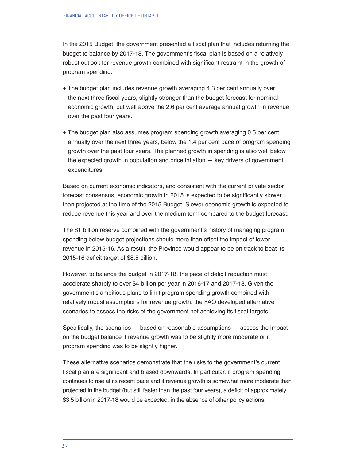In the 2015 Budget, the government presented a fiscal plan that includes returning the budget to balance by 2017-18. The government's fiscal plan is based on a relatively robust outlook for revenue growth combined with significant restraint in the growth of program spending.

- + The budget plan includes revenue growth averaging 4.3 per cent annually over the next three fiscal years, slightly stronger than the budget forecast for nominal economic growth, but well above the 2.6 per cent average annual growth in revenue over the past four years.
- + The budget plan also assumes program spending growth averaging 0.5 per cent annually over the next three years, below the 1.4 per cent pace of program spending growth over the past four years. The planned growth in spending is also well below the expected growth in population and price inflation  $-$  key drivers of government expenditures.

Based on current economic indicators, and consistent with the current private sector forecast consensus, economic growth in 2015 is expected to be significantly slower than projected at the time of the 2015 Budget. Slower economic growth is expected to reduce revenue this year and over the medium term compared to the budget forecast.

The \$1 billion reserve combined with the government's history of managing program spending below budget projections should more than offset the impact of lower revenue in 2015-16. As a result, the Province would appear to be on track to beat its 2015-16 deficit target of \$8.5 billion.

However, to balance the budget in 2017-18, the pace of deficit reduction must accelerate sharply to over \$4 billion per year in 2016-17 and 2017-18. Given the government's ambitious plans to limit program spending growth combined with relatively robust assumptions for revenue growth, the FAO developed alternative scenarios to assess the risks of the government not achieving its fiscal targets.

Specifically, the scenarios — based on reasonable assumptions — assess the impact on the budget balance if revenue growth was to be slightly more moderate or if program spending was to be slightly higher.

These alternative scenarios demonstrate that the risks to the government's current fiscal plan are significant and biased downwards. In particular, if program spending continues to rise at its recent pace and if revenue growth is somewhat more moderate than projected in the budget (but still faster than the past four years), a deficit of approximately \$3.5 billion in 2017-18 would be expected, in the absence of other policy actions.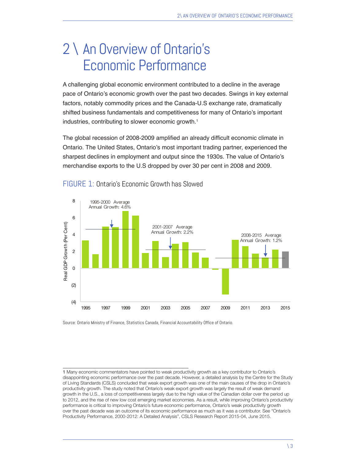# 2 \ An Overview of Ontario's Economic Performance

A challenging global economic environment contributed to a decline in the average pace of Ontario's economic growth over the past two decades. Swings in key external factors, notably commodity prices and the Canada-U.S exchange rate, dramatically shifted business fundamentals and competitiveness for many of Ontario's important industries, contributing to slower economic growth.<sup>1</sup>

The global recession of 2008-2009 amplified an already difficult economic climate in Ontario. The United States, Ontario's most important trading partner, experienced the sharpest declines in employment and output since the 1930s. The value of Ontario's merchandise exports to the U.S dropped by over 30 per cent in 2008 and 2009.



#### FIGURE 1: Ontario's Economic Growth has Slowed

Source: Ontario Ministry of Finance, Statistics Canada, Financial Accountability Office of Ontario.

<sup>1</sup> Many economic commentators have pointed to weak productivity growth as a key contributor to Ontario's disappointing economic performance over the past decade. However, a detailed analysis by the Centre for the Study of Living Standards (CSLS) concluded that weak export growth was one of the main causes of the drop in Ontario's productivity growth. The study noted that Ontario's weak export growth was largely the result of weak demand growth in the U.S., a loss of competitiveness largely due to the high value of the Canadian dollar over the period up to 2012, and the rise of new low cost emerging market economies. As a result, while improving Ontario's productivity performance is critical to improving Ontario's future economic performance, Ontario's weak productivity growth over the past decade was an outcome of its economic performance as much as it was a contributor. See "Ontario's Productivity Performance, 2000-2012: A Detailed Analysis", CSLS Research Report 2015-04, June 2015.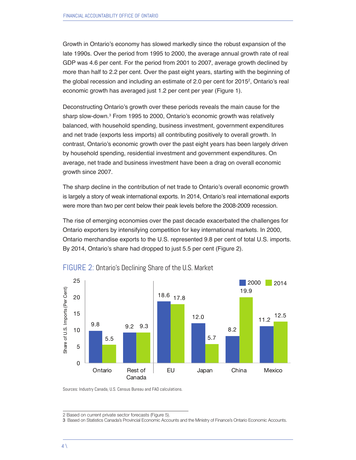Growth in Ontario's economy has slowed markedly since the robust expansion of the late 1990s. Over the period from 1995 to 2000, the average annual growth rate of real GDP was 4.6 per cent. For the period from 2001 to 2007, average growth declined by more than half to 2.2 per cent. Over the past eight years, starting with the beginning of the global recession and including an estimate of 2.0 per cent for 2015<sup>2</sup>, Ontario's real economic growth has averaged just 1.2 per cent per year (Figure 1).

Deconstructing Ontario's growth over these periods reveals the main cause for the sharp slow-down.3 From 1995 to 2000, Ontario's economic growth was relatively balanced, with household spending, business investment, government expenditures and net trade (exports less imports) all contributing positively to overall growth. In contrast, Ontario's economic growth over the past eight years has been largely driven by household spending, residential investment and government expenditures. On average, net trade and business investment have been a drag on overall economic growth since 2007.

The sharp decline in the contribution of net trade to Ontario's overall economic growth is largely a story of weak international exports. In 2014, Ontario's real international exports were more than two per cent below their peak levels before the 2008-2009 recession.

The rise of emerging economies over the past decade exacerbated the challenges for Ontario exporters by intensifying competition for key international markets. In 2000, Ontario merchandise exports to the U.S. represented 9.8 per cent of total U.S. imports. By 2014, Ontario's share had dropped to just 5.5 per cent (Figure 2).



FIGURE 2: Ontario's Declining Share of the U.S. Market

Sources: Industry Canada, U.S. Census Bureau and FAO calculations.

2 Based on current private sector forecasts (Figure 5).

<sup>3</sup> Based on Statistics Canada's Provincial Economic Accounts and the Ministry of Finance's Ontario Economic Accounts.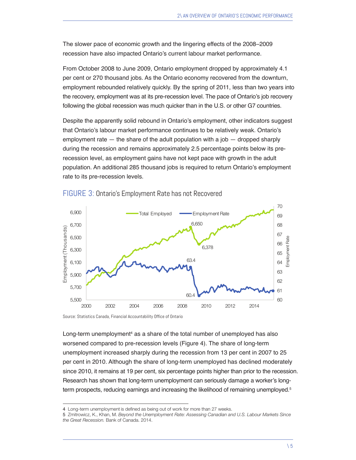The slower pace of economic growth and the lingering effects of the 2008–2009 recession have also impacted Ontario's current labour market performance.

From October 2008 to June 2009, Ontario employment dropped by approximately 4.1 per cent or 270 thousand jobs. As the Ontario economy recovered from the downturn, employment rebounded relatively quickly. By the spring of 2011, less than two years into the recovery, employment was at its pre-recession level. The pace of Ontario's job recovery following the global recession was much quicker than in the U.S. or other G7 countries.

Despite the apparently solid rebound in Ontario's employment, other indicators suggest that Ontario's labour market performance continues to be relatively weak. Ontario's employment rate  $-$  the share of the adult population with a job  $-$  dropped sharply during the recession and remains approximately 2.5 percentage points below its prerecession level, as employment gains have not kept pace with growth in the adult population. An additional 285 thousand jobs is required to return Ontario's employment rate to its pre-recession levels.



#### FIGURE 3: Ontario's Employment Rate has not Recovered

Source: Statistics Canada, Financial Accountability Office of Ontario

Long-term unemployment<sup>4</sup> as a share of the total number of unemployed has also worsened compared to pre-recession levels (Figure 4). The share of long-term unemployment increased sharply during the recession from 13 per cent in 2007 to 25 per cent in 2010. Although the share of long-term unemployed has declined moderately since 2010, it remains at 19 per cent, six percentage points higher than prior to the recession. Research has shown that long-term unemployment can seriously damage a worker's longterm prospects, reducing earnings and increasing the likelihood of remaining unemployed.<sup>5</sup>

<sup>4</sup> Long-term unemployment is defined as being out of work for more than 27 weeks.

<sup>5</sup> Zmitrowicz, K., Khan, M. *Beyond the Unemployment Rate: Assessing Canadian and U.S. Labour Markets Since the Great Recession.* Bank of Canada. 2014.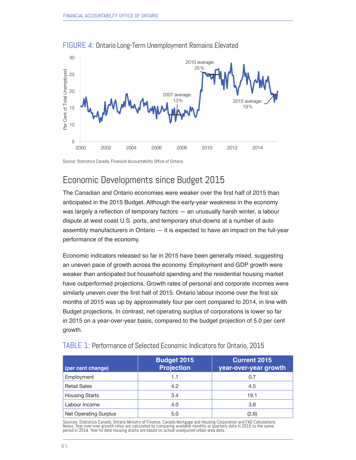

FIGURE 4: Ontario Long-Term Unemployment Remains Elevated

Source: Statistics Canada, Financial Accountability Office of Ontario.

# Economic Developments since Budget 2015

The Canadian and Ontario economies were weaker over the first half of 2015 than anticipated in the 2015 Budget. Although the early-year weakness in the economy was largely a reflection of temporary factors — an unusually harsh winter, a labour dispute at west coast U.S. ports, and temporary shut-downs at a number of auto assembly manufacturers in Ontario — it is expected to have an impact on the full-year performance of the economy.

Economic indicators released so far in 2015 have been generally mixed, suggesting an uneven pace of growth across the economy. Employment and GDP growth were weaker than anticipated but household spending and the residential housing market have outperformed projections. Growth rates of personal and corporate incomes were similarly uneven over the first half of 2015. Ontario labour income over the first six months of 2015 was up by approximately four per cent compared to 2014, in line with Budget projections. In contrast, net operating surplus of corporations is lower so far in 2015 on a year-over-year basis, compared to the budget projection of 5.0 per cent growth.

| (per cent change)            | <b>Budget 2015</b><br><b>Projection</b> | <b>Current 2015</b><br>year-over-year growth |
|------------------------------|-----------------------------------------|----------------------------------------------|
| Employment                   | 1.1                                     | 0.7                                          |
| <b>Retail Sales</b>          | 4.2                                     | 4.5                                          |
| <b>Housing Starts</b>        | 3.4                                     | 19.1                                         |
| Labour Income                | 4.0                                     | 3.8                                          |
| <b>Net Operating Surplus</b> | 5.0                                     | (2.6)                                        |

#### TABLE 1: Performance of Selected Economic Indicators for Ontario, 2015

Sources: Statistics Canada, Ontario Ministry of Finance, Canada Mortgage and Housing Corporation and FAO Calculations<br>Notes: Year-over-over growth rates are calculated by comparing available monthly or quarterly data in 20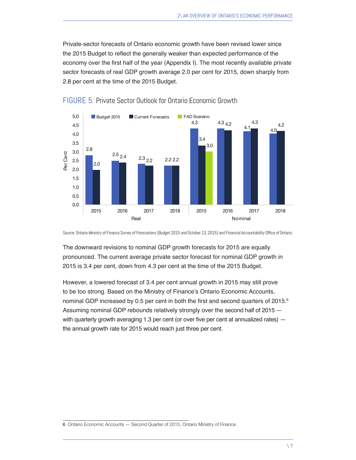Private-sector forecasts of Ontario economic growth have been revised lower since the 2015 Budget to reflect the generally weaker than expected performance of the economy over the first half of the year (Appendix I). The most recently available private sector forecasts of real GDP growth average 2.0 per cent for 2015, down sharply from 2.8 per cent at the time of the 2015 Budget.



FIGURE 5: Private Sector Outlook for Ontario Economic Growth

Source: Ontario Ministry of Finance Survey of Forecasters (Budget 2015 and October 13, 2015) and Financial Accountability Office of Ontario.

The downward revisions to nominal GDP growth forecasts for 2015 are equally pronounced. The current average private sector forecast for nominal GDP growth in 2015 is 3.4 per cent, down from 4.3 per cent at the time of the 2015 Budget.

However, a lowered forecast of 3.4 per cent annual growth in 2015 may still prove to be too strong. Based on the Ministry of Finance's Ontario Economic Accounts, nominal GDP increased by 0.5 per cent in both the first and second quarters of  $2015$ .<sup>6</sup> Assuming nominal GDP rebounds relatively strongly over the second half of 2015 with quarterly growth averaging 1.3 per cent (or over five per cent at annualized rates) – the annual growth rate for 2015 would reach just three per cent.

<sup>6</sup> Ontario Economic Accounts — Second Quarter of 2015, Ontario Ministry of Finance.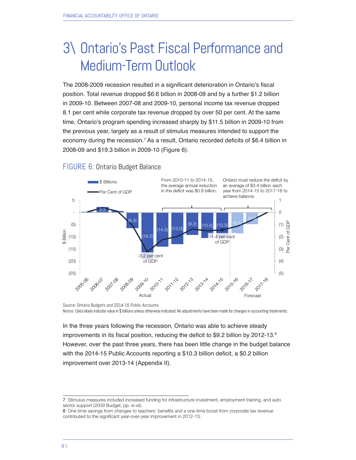# 3\ Ontario's Past Fiscal Performance and Medium-Term Outlook

The 2008-2009 recession resulted in a significant deterioration in Ontario's fiscal position. Total revenue dropped \$6.6 billion in 2008-09 and by a further \$1.2 billion in 2009-10. Between 2007-08 and 2009-10, personal income tax revenue dropped 8.1 per cent while corporate tax revenue dropped by over 50 per cent. At the same time, Ontario's program spending increased sharply by \$11.5 billion in 2009-10 from the previous year, largely as a result of stimulus measures intended to support the economy during the recession.<sup>7</sup> As a result, Ontario recorded deficits of \$6.4 billion in 2008-09 and \$19.3 billion in 2009-10 (Figure 6).



#### FIGURE 6: Ontario Budget Balance

Source: Ontario Budgets and 2014-15 Public Accounts Notes: Data labels indicate value in \$ billions unless otherwise indicated. No adjustments have been made for changes in accounting treatments.

In the three years following the recession, Ontario was able to achieve steady improvements in its fiscal position, reducing the deficit to \$9.2 billion by 2012-13.<sup>8</sup> However, over the past three years, there has been little change in the budget balance with the 2014-15 Public Accounts reporting a \$10.3 billion deficit, a \$0.2 billion improvement over 2013-14 (Appendix II).

<sup>7</sup> Stimulus measures included increased funding for infrastructure investment, employment training, and auto sector support (2009 Budget, pp. xi-xii).

<sup>8</sup> One-time savings from changes to teachers' benefits and a one-time boost from corporate tax revenue contributed to the significant year-over-year improvement in 2012-13.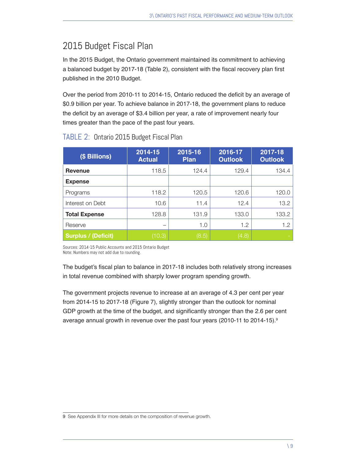# 2015 Budget Fiscal Plan

In the 2015 Budget, the Ontario government maintained its commitment to achieving a balanced budget by 2017-18 (Table 2), consistent with the fiscal recovery plan first published in the 2010 Budget.

Over the period from 2010-11 to 2014-15, Ontario reduced the deficit by an average of \$0.9 billion per year. To achieve balance in 2017-18, the government plans to reduce the deficit by an average of \$3.4 billion per year, a rate of improvement nearly four times greater than the pace of the past four years.

| (\$ Billions)              | 2014-15<br><b>Actual</b> | 2015-16<br><b>Plan</b> | 2016-17<br><b>Outlook</b> | 2017-18<br><b>Outlook</b> |
|----------------------------|--------------------------|------------------------|---------------------------|---------------------------|
| <b>Revenue</b>             | 118.5                    | 124.4                  | 129.4                     | 134.4                     |
| <b>Expense</b>             |                          |                        |                           |                           |
| Programs                   | 118.2                    | 120.5                  | 120.6                     | 120.0                     |
| Interest on Debt           | 10.6                     | 11.4                   | 12.4                      | 13.2                      |
| <b>Total Expense</b>       | 128.8                    | 131.9                  | 133.0                     | 133.2                     |
| Reserve                    |                          | 1.0                    | 1.2                       | 1.2                       |
| <b>Surplus / (Deficit)</b> | (10.3)                   | (8.5)                  | (4.8)                     |                           |

#### TABLE 2: Ontario 2015 Budget Fiscal Plan

Sources: 2014-15 Public Accounts and 2015 Ontario Budget Note: Numbers may not add due to rounding.

The budget's fiscal plan to balance in 2017-18 includes both relatively strong increases in total revenue combined with sharply lower program spending growth.

The government projects revenue to increase at an average of 4.3 per cent per year from 2014-15 to 2017-18 (Figure 7), slightly stronger than the outlook for nominal GDP growth at the time of the budget, and significantly stronger than the 2.6 per cent average annual growth in revenue over the past four years (2010-11 to 2014-15).<sup>9</sup>

<sup>9</sup> See Appendix III for more details on the composition of revenue growth.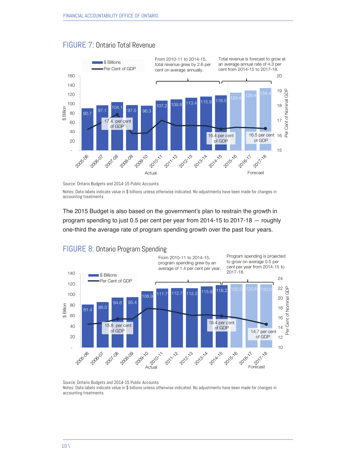

#### FIGURE 7: Ontario Total Revenue



Notes: Data labels indicate value in \$ billions unless otherwise indicated. No adjustments have been made for changes in accounting treatments.

The 2015 Budget is also based on the government's plan to restrain the growth in program spending to just 0.5 per cent per year from 2014-15 to 2017-18 — roughly one-third the average rate of program spending growth over the past four years.



#### FIGURE 8: Ontario Program Spending

Source: Ontario Budgets and 2014-15 Public Accounts Notes: Data labels indicate value in \$ billions unless otherwise indicated. No adjustments have been made for changes in accounting treatments.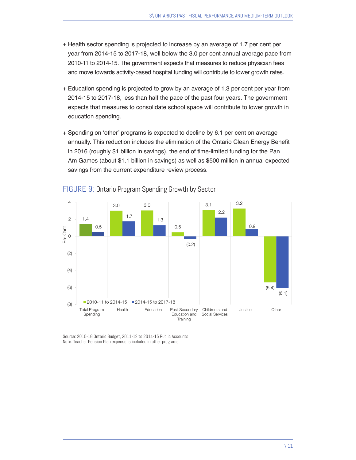- + Health sector spending is projected to increase by an average of 1.7 per cent per year from 2014-15 to 2017-18, well below the 3.0 per cent annual average pace from 2010-11 to 2014-15. The government expects that measures to reduce physician fees and move towards activity-based hospital funding will contribute to lower growth rates.
- + Education spending is projected to grow by an average of 1.3 per cent per year from 2014-15 to 2017-18, less than half the pace of the past four years. The government expects that measures to consolidate school space will contribute to lower growth in education spending.
- + Spending on 'other' programs is expected to decline by 6.1 per cent on average annually. This reduction includes the elimination of the Ontario Clean Energy Benefit in 2016 (roughly \$1 billion in savings), the end of time-limited funding for the Pan Am Games (about \$1.1 billion in savings) as well as \$500 million in annual expected savings from the current expenditure review process.



#### FIGURE 9: Ontario Program Spending Growth by Sector

Source: 2015-16 Ontario Budget, 2011-12 to 2014-15 Public Accounts Note: Teacher Pension Plan expense is included in other programs.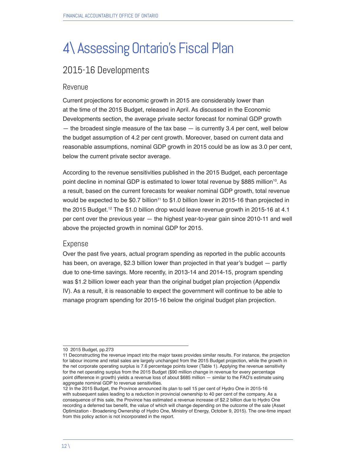# 4\ Assessing Ontario's Fiscal Plan

# 2015-16 Developments

#### Revenue

Current projections for economic growth in 2015 are considerably lower than at the time of the 2015 Budget, released in April. As discussed in the Economic Developments section, the average private sector forecast for nominal GDP growth  $-$  the broadest single measure of the tax base  $-$  is currently 3.4 per cent, well below the budget assumption of 4.2 per cent growth. Moreover, based on current data and reasonable assumptions, nominal GDP growth in 2015 could be as low as 3.0 per cent, below the current private sector average.

According to the revenue sensitivities published in the 2015 Budget, each percentage point decline in nominal GDP is estimated to lower total revenue by \$885 million<sup>10</sup>. As a result, based on the current forecasts for weaker nominal GDP growth, total revenue would be expected to be \$0.7 billion<sup>11</sup> to \$1.0 billion lower in 2015-16 than projected in the 2015 Budget.<sup>12</sup> The \$1.0 billion drop would leave revenue growth in 2015-16 at 4.1 per cent over the previous year — the highest year-to-year gain since 2010-11 and well above the projected growth in nominal GDP for 2015.

#### Expense

Over the past five years, actual program spending as reported in the public accounts has been, on average, \$2.3 billion lower than projected in that year's budget — partly due to one-time savings. More recently, in 2013-14 and 2014-15, program spending was \$1.2 billion lower each year than the original budget plan projection (Appendix IV). As a result, it is reasonable to expect the government will continue to be able to manage program spending for 2015-16 below the original budget plan projection.

<sup>10 2015</sup> Budget, pp.273

<sup>11</sup> Deconstructing the revenue impact into the major taxes provides similar results. For instance, the projection for labour income and retail sales are largely unchanged from the 2015 Budget projection, while the growth in the net corporate operating surplus is 7.6 percentage points lower (Table 1). Applying the revenue sensitivity for the net operating surplus from the 2015 Budget (\$90 million change in revenue for every percentage point difference in growth) yields a revenue loss of about \$685 million — similar to the FAO's estimate using aggregate nominal GDP to revenue sensitivities.

<sup>12</sup> In the 2015 Budget, the Province announced its plan to sell 15 per cent of Hydro One in 2015-16 with subsequent sales leading to a reduction in provincial ownership to 40 per cent of the company. As a consequence of this sale, the Province has estimated a revenue increase of \$2.2 billion due to Hydro One recording a deferred tax benefit, the value of which will change depending on the outcome of the sale (Asset Optimization - Broadening Ownership of Hydro One, Ministry of Energy, October 9, 2015). The one-time impact from this policy action is not incorporated in the report.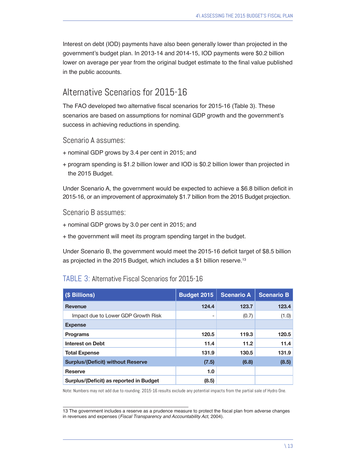Interest on debt (IOD) payments have also been generally lower than projected in the government's budget plan. In 2013-14 and 2014-15, IOD payments were \$0.2 billion lower on average per year from the original budget estimate to the final value published in the public accounts.

### Alternative Scenarios for 2015-16

The FAO developed two alternative fiscal scenarios for 2015-16 (Table 3). These scenarios are based on assumptions for nominal GDP growth and the government's success in achieving reductions in spending.

Scenario A assumes:

- + nominal GDP grows by 3.4 per cent in 2015; and
- + program spending is \$1.2 billion lower and IOD is \$0.2 billion lower than projected in the 2015 Budget.

Under Scenario A, the government would be expected to achieve a \$6.8 billion deficit in 2015-16, or an improvement of approximately \$1.7 billion from the 2015 Budget projection.

#### Scenario B assumes:

- + nominal GDP grows by 3.0 per cent in 2015; and
- + the government will meet its program spending target in the budget.

Under Scenario B, the government would meet the 2015-16 deficit target of \$8.5 billion as projected in the 2015 Budget, which includes a \$1 billion reserve.<sup>13</sup>

#### TABLE 3: Alternative Fiscal Scenarios for 2015-16

| <b>(\$ Billions)</b>                     | Budget 2015 | <b>Scenario A</b> | <b>Scenario B</b> |
|------------------------------------------|-------------|-------------------|-------------------|
| Revenue                                  | 124.4       | 123.7             | 123.4             |
| Impact due to Lower GDP Growth Risk      |             | (0.7)             | (1.0)             |
| <b>Expense</b>                           |             |                   |                   |
| <b>Programs</b>                          | 120.5       | 119.3             | 120.5             |
| <b>Interest on Debt</b>                  | 11.4        | 11.2              | 11.4              |
| <b>Total Expense</b>                     | 131.9       | 130.5             | 131.9             |
| <b>Surplus/(Deficit) without Reserve</b> | (7.5)       | (6.8)             | (8.5)             |
| <b>Reserve</b>                           | 1.0         |                   |                   |
| Surplus/(Deficit) as reported in Budget  | (8.5)       |                   |                   |

Note: Numbers may not add due to rounding. 2015-16 results exclude any potential impacts from the partial sale of Hydro One.

13 The government includes a reserve as a prudence measure to protect the fiscal plan from adverse changes in revenues and expenses (*Fiscal Transparency and Accountability Act*, 2004).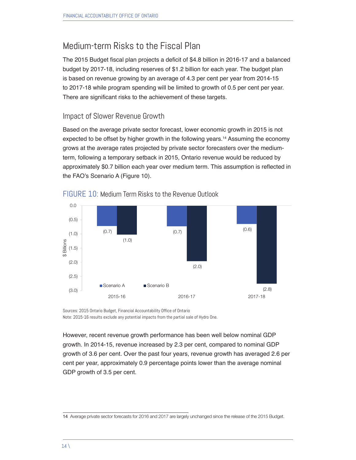# Medium-term Risks to the Fiscal Plan

The 2015 Budget fiscal plan projects a deficit of \$4.8 billion in 2016-17 and a balanced budget by 2017-18, including reserves of \$1.2 billion for each year. The budget plan is based on revenue growing by an average of 4.3 per cent per year from 2014-15 to 2017-18 while program spending will be limited to growth of 0.5 per cent per year. There are significant risks to the achievement of these targets.

#### Impact of Slower Revenue Growth

Based on the average private sector forecast, lower economic growth in 2015 is not expected to be offset by higher growth in the following years.<sup>14</sup> Assuming the economy grows at the average rates projected by private sector forecasters over the mediumterm, following a temporary setback in 2015, Ontario revenue would be reduced by approximately \$0.7 billion each year over medium term. This assumption is reflected in the FAO's Scenario A (Figure 10).



#### FIGURE 10: Medium Term Risks to the Revenue Outlook

Sources: 2015 Ontario Budget, Financial Accountability Office of Ontario Note: 2015-16 results exclude any potential impacts from the partial sale of Hydro One.

However, recent revenue growth performance has been well below nominal GDP growth. In 2014-15, revenue increased by 2.3 per cent, compared to nominal GDP growth of 3.6 per cent. Over the past four years, revenue growth has averaged 2.6 per cent per year, approximately 0.9 percentage points lower than the average nominal GDP growth of 3.5 per cent.

<sup>14</sup> Average private sector forecasts for 2016 and 2017 are largely unchanged since the release of the 2015 Budget.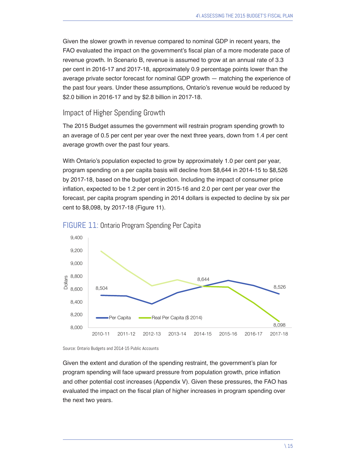Given the slower growth in revenue compared to nominal GDP in recent years, the FAO evaluated the impact on the government's fiscal plan of a more moderate pace of revenue growth. In Scenario B, revenue is assumed to grow at an annual rate of 3.3 per cent in 2016-17 and 2017-18, approximately 0.9 percentage points lower than the average private sector forecast for nominal GDP growth — matching the experience of the past four years. Under these assumptions, Ontario's revenue would be reduced by \$2.0 billion in 2016-17 and by \$2.8 billion in 2017-18.

#### Impact of Higher Spending Growth

The 2015 Budget assumes the government will restrain program spending growth to an average of 0.5 per cent per year over the next three years, down from 1.4 per cent average growth over the past four years.

With Ontario's population expected to grow by approximately 1.0 per cent per year, program spending on a per capita basis will decline from \$8,644 in 2014-15 to \$8,526 by 2017-18, based on the budget projection. Including the impact of consumer price inflation, expected to be 1.2 per cent in 2015-16 and 2.0 per cent per year over the forecast, per capita program spending in 2014 dollars is expected to decline by six per cent to \$8,098, by 2017-18 (Figure 11).





Source: Ontario Budgets and 2014-15 Public Accounts

Given the extent and duration of the spending restraint, the government's plan for program spending will face upward pressure from population growth, price inflation and other potential cost increases (Appendix V). Given these pressures, the FAO has evaluated the impact on the fiscal plan of higher increases in program spending over the next two years.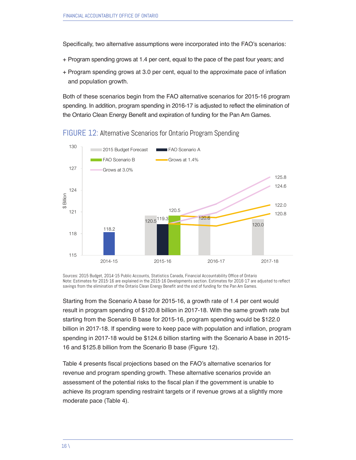Specifically, two alternative assumptions were incorporated into the FAO's scenarios:

- + Program spending grows at 1.4 per cent, equal to the pace of the past four years; and
- + Program spending grows at 3.0 per cent, equal to the approximate pace of inflation and population growth.

Both of these scenarios begin from the FAO alternative scenarios for 2015-16 program spending. In addition, program spending in 2016-17 is adjusted to reflect the elimination of the Ontario Clean Energy Benefit and expiration of funding for the Pan Am Games.



FIGURE 12: Alternative Scenarios for Ontario Program Spending

Sources: 2015 Budget, 2014-15 Public Accounts, Statistics Canada, Financial Accountability Office of Ontario Note: Estimates for 2015-16 are explained in the 2015-16 Developments section. Estimates for 2016-17 are adjusted to reflect savings from the elimination of the Ontario Clean Energy Benefit and the end of funding for the Pan Am Games.

Starting from the Scenario A base for 2015-16, a growth rate of 1.4 per cent would result in program spending of \$120.8 billion in 2017-18. With the same growth rate but starting from the Scenario B base for 2015-16, program spending would be \$122.0 billion in 2017-18. If spending were to keep pace with population and inflation, program spending in 2017-18 would be \$124.6 billion starting with the Scenario A base in 2015- 16 and \$125.8 billion from the Scenario B base (Figure 12).

Table 4 presents fiscal projections based on the FAO's alternative scenarios for revenue and program spending growth. These alternative scenarios provide an assessment of the potential risks to the fiscal plan if the government is unable to achieve its program spending restraint targets or if revenue grows at a slightly more moderate pace (Table 4).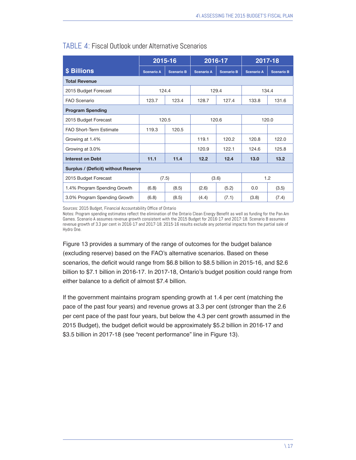|                                            | 2015-16<br>2016-17 |                   | 2017-18           |                   |                   |                   |  |  |
|--------------------------------------------|--------------------|-------------------|-------------------|-------------------|-------------------|-------------------|--|--|
| \$ Billions                                | <b>Scenario A</b>  | <b>Scenario B</b> | <b>Scenario A</b> | <b>Scenario B</b> | <b>Scenario A</b> | <b>Scenario B</b> |  |  |
| <b>Total Revenue</b>                       |                    |                   |                   |                   |                   |                   |  |  |
| 2015 Budget Forecast                       | 124.4              |                   | 129.4             |                   | 134.4             |                   |  |  |
| FAO Scenario                               | 123.7              | 123.4             | 128.7             | 127.4             | 133.8             | 131.6             |  |  |
| <b>Program Spending</b>                    |                    |                   |                   |                   |                   |                   |  |  |
| 2015 Budget Forecast                       | 120.5<br>120.6     |                   |                   | 120.0             |                   |                   |  |  |
| <b>FAO Short-Term Estimate</b>             | 119.3              | 120.5             |                   |                   |                   |                   |  |  |
| Growing at 1.4%                            |                    |                   | 119.1             | 120.2             | 120.8             | 122.0             |  |  |
| Growing at 3.0%                            |                    |                   | 120.9             | 122.1             | 124.6             | 125.8             |  |  |
| <b>Interest on Debt</b>                    | 11.1               | 11.4              | 12.2              | 12.4              | 13.0              | 13.2              |  |  |
| <b>Surplus / (Deficit) without Reserve</b> |                    |                   |                   |                   |                   |                   |  |  |
| 2015 Budget Forecast                       | (7.5)              |                   |                   | (3.6)             |                   | 1.2               |  |  |
| 1.4% Program Spending Growth               | (6.8)              | (8.5)             | (2.6)             | (5.2)             | 0.0               | (3.5)             |  |  |
| 3.0% Program Spending Growth               | (6.8)              | (8.5)             | (4.4)             | (7.1)             | (3.8)             | (7.4)             |  |  |

#### TABLE 4: Fiscal Outlook under Alternative Scenarios

Sources: 2015 Budget, Financial Accountability Office of Ontario

Notes: Program spending estimates reflect the elimination of the Ontario Clean Energy Benefit as well as funding for the Pan Am Games. Scenario A assumes revenue growth consistent with the 2015 Budget for 2016-17 and 2017-18. Scenario B assumes revenue growth of 3.3 per cent in 2016-17 and 2017-18. 2015-16 results exclude any potential impacts from the partial sale of Hydro One.

Figure 13 provides a summary of the range of outcomes for the budget balance (excluding reserve) based on the FAO's alternative scenarios. Based on these scenarios, the deficit would range from \$6.8 billion to \$8.5 billion in 2015-16, and \$2.6 billion to \$7.1 billion in 2016-17. In 2017-18, Ontario's budget position could range from either balance to a deficit of almost \$7.4 billion.

If the government maintains program spending growth at 1.4 per cent (matching the pace of the past four years) and revenue grows at 3.3 per cent (stronger than the 2.6 per cent pace of the past four years, but below the 4.3 per cent growth assumed in the 2015 Budget), the budget deficit would be approximately \$5.2 billion in 2016-17 and \$3.5 billion in 2017-18 (see "recent performance" line in Figure 13).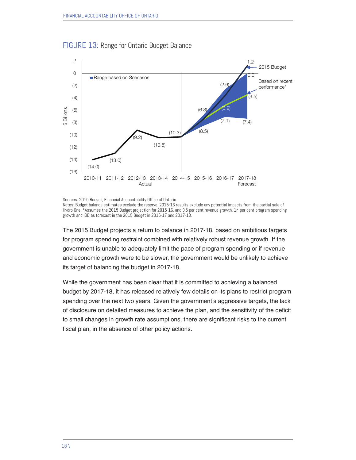

#### FIGURE 13: Range for Ontario Budget Balance

Sources: 2015 Budget, Financial Accountability Office of Ontario

Notes: Budget balance estimates exclude the reserve. 2015-16 results exclude any potential impacts from the partial sale of Hydro One. \*Assumes the 2015 Budget projection for 2015-16, and 3.5 per cent revenue growth, 1.4 per cent program spending growth and IOD as forecast in the 2015 Budget in 2016-17 and 2017-18.

The 2015 Budget projects a return to balance in 2017-18, based on ambitious targets for program spending restraint combined with relatively robust revenue growth. If the government is unable to adequately limit the pace of program spending or if revenue and economic growth were to be slower, the government would be unlikely to achieve its target of balancing the budget in 2017-18.

While the government has been clear that it is committed to achieving a balanced budget by 2017-18, it has released relatively few details on its plans to restrict program spending over the next two years. Given the government's aggressive targets, the lack of disclosure on detailed measures to achieve the plan, and the sensitivity of the deficit to small changes in growth rate assumptions, there are significant risks to the current fiscal plan, in the absence of other policy actions.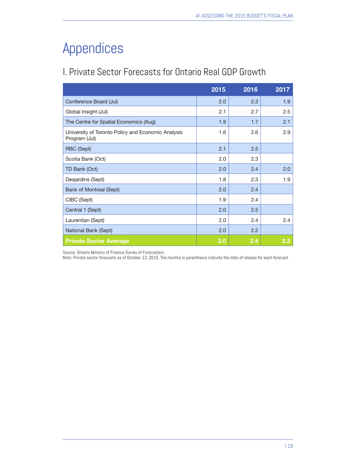# Appendices

# I. Private Sector Forecasts for Ontario Real GDP Growth

|                                                                     | 2015 | 2016 | 2017             |
|---------------------------------------------------------------------|------|------|------------------|
| Conference Board (Jul)                                              | 2.0  | 2.3  | 1.9              |
| Global Insight (Jul)                                                | 2.1  | 2.7  | 2.5              |
| The Centre for Spatial Economics (Aug)                              | 1.9  | 1.7  | 2.1              |
| University of Toronto Policy and Economic Analysis<br>Program (Jul) | 1.6  | 2.6  | 2.9              |
| RBC (Sept)                                                          | 2.1  | 2.5  |                  |
| Scotia Bank (Oct)                                                   | 2.0  | 2.3  |                  |
| TD Bank (Oct)                                                       | 2.0  | 2.4  | 2.0              |
| Desjardins (Sept)                                                   | 1.8  | 2.3  | 1.9              |
| <b>Bank of Montreal (Sept)</b>                                      | 2.0  | 2.4  |                  |
| CIBC (Sept)                                                         | 1.9  | 2.4  |                  |
| Central 1 (Sept)                                                    | 2.0  | 2.5  |                  |
| Laurentian (Sept)                                                   | 2.0  | 2.4  | 2.4              |
| National Bank (Sept)                                                | 2.0  | 2.2  |                  |
| <b>Private Sector Average</b>                                       | 2.0  | 2.4  | $2.2\phantom{0}$ |

Source: Ontario Ministry of Finance Survey of Forecasters

Note: Private sector forecasts as of October 13, 2015. The months in parenthesis indicate the date of release for each forecast.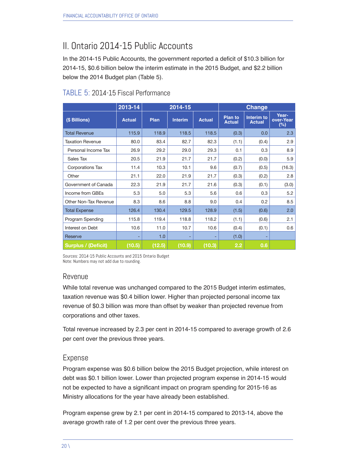# II. Ontario 2014-15 Public Accounts

In the 2014-15 Public Accounts, the government reported a deficit of \$10.3 billion for 2014-15, \$0.6 billion below the interim estimate in the 2015 Budget, and \$2.2 billion below the 2014 Budget plan (Table 5).

|                            | 2013-14       | 2014-15 |                |               | <b>Change</b>                   |                             |                              |  |
|----------------------------|---------------|---------|----------------|---------------|---------------------------------|-----------------------------|------------------------------|--|
| (\$ Billions)              | <b>Actual</b> | Plan    | <b>Interim</b> | <b>Actual</b> | <b>Plan to</b><br><b>Actual</b> | Interim to<br><b>Actual</b> | Year-<br>over-Year<br>$(\%)$ |  |
| <b>Total Revenue</b>       | 115.9         | 118.9   | 118.5          | 118.5         | (0.3)                           | 0.0                         | 2.3                          |  |
| <b>Taxation Revenue</b>    | 80.0          | 83.4    | 82.7           | 82.3          | (1.1)                           | (0.4)                       | 2.9                          |  |
| Personal Income Tax        | 26.9          | 29.2    | 29.0           | 29.3          | 0.1                             | 0.3                         | 8.9                          |  |
| Sales Tax                  | 20.5          | 21.9    | 21.7           | 21.7          | (0.2)                           | (0.0)                       | 5.9                          |  |
| Corporations Tax           | 11.4          | 10.3    | 10.1           | 9.6           | (0.7)                           | (0.5)                       | (16.3)                       |  |
| Other                      | 21.1          | 22.0    | 21.9           | 21.7          | (0.3)                           | (0.2)                       | 2.8                          |  |
| Government of Canada       | 22.3          | 21.9    | 21.7           | 21.6          | (0.3)                           | (0.1)                       | (3.0)                        |  |
| Income from GBEs           | 5.3           | 5.0     | 5.3            | 5.6           | 0.6                             | 0.3                         | 5.2                          |  |
| Other Non-Tax Revenue      | 8.3           | 8.6     | 8.8            | 9.0           | 0.4                             | 0.2                         | 8.5                          |  |
| <b>Total Expense</b>       | 126.4         | 130.4   | 129.5          | 128.9         | (1.5)                           | (0.6)                       | 2.0                          |  |
| Program Spending           | 115.8         | 119.4   | 118.8          | 118.2         | (1.1)                           | (0.6)                       | 2.1                          |  |
| Interest on Debt           | 10.6          | 11.0    | 10.7           | 10.6          | (0.4)                           | (0.1)                       | 0.6                          |  |
| Reserve                    | ۰             | 1.0     |                |               | (1.0)                           |                             |                              |  |
| <b>Surplus / (Deficit)</b> | (10.5)        | (12.5)  | (10.9)         | (10.3)        | 2.2                             | 0.6                         |                              |  |

#### TABLE 5: 2014-15 Fiscal Performance

Sources: 2014-15 Public Accounts and 2015 Ontario Budget Note: Numbers may not add due to rounding.

#### Revenue

While total revenue was unchanged compared to the 2015 Budget interim estimates, taxation revenue was \$0.4 billion lower. Higher than projected personal income tax revenue of \$0.3 billion was more than offset by weaker than projected revenue from corporations and other taxes.

Total revenue increased by 2.3 per cent in 2014-15 compared to average growth of 2.6 per cent over the previous three years.

#### Expense

Program expense was \$0.6 billion below the 2015 Budget projection, while interest on debt was \$0.1 billion lower. Lower than projected program expense in 2014-15 would not be expected to have a significant impact on program spending for 2015-16 as Ministry allocations for the year have already been established.

Program expense grew by 2.1 per cent in 2014-15 compared to 2013-14, above the average growth rate of 1.2 per cent over the previous three years.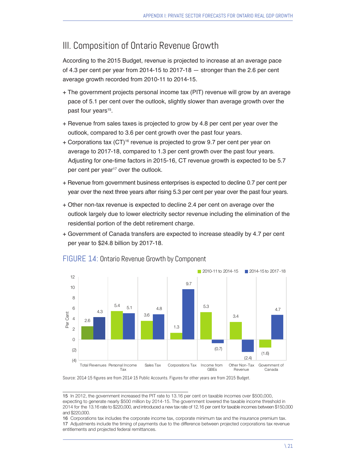## III. Composition of Ontario Revenue Growth

According to the 2015 Budget, revenue is projected to increase at an average pace of 4.3 per cent per year from 2014-15 to 2017-18 — stronger than the 2.6 per cent average growth recorded from 2010-11 to 2014-15.

- + The government projects personal income tax (PIT) revenue will grow by an average pace of 5.1 per cent over the outlook, slightly slower than average growth over the past four years<sup>15</sup>.
- + Revenue from sales taxes is projected to grow by 4.8 per cent per year over the outlook, compared to 3.6 per cent growth over the past four years.
- + Corporations tax (CT)16 revenue is projected to grow 9.7 per cent per year on average to 2017-18, compared to 1.3 per cent growth over the past four years. Adjusting for one-time factors in 2015-16, CT revenue growth is expected to be 5.7 per cent per year<sup>17</sup> over the outlook.
- + Revenue from government business enterprises is expected to decline 0.7 per cent per year over the next three years after rising 5.3 per cent per year over the past four years.
- + Other non-tax revenue is expected to decline 2.4 per cent on average over the outlook largely due to lower electricity sector revenue including the elimination of the residential portion of the debt retirement charge.
- + Government of Canada transfers are expected to increase steadily by 4.7 per cent per year to \$24.8 billion by 2017-18.



#### FIGURE 14: Ontario Revenue Growth by Component

Source: 2014-15 figures are from 2014-15 Public Accounts. Figures for other years are from 2015 Budget.

<sup>15</sup> In 2012, the government increased the PIT rate to 13.16 per cent on taxable incomes over \$500,000, expecting to generate nearly \$500 million by 2014-15. The government lowered the taxable income threshold in 2014 for the 13.16 rate to \$220,000, and introduced a new tax rate of 12.16 per cent for taxable incomes between \$150,000 and \$220,000.

<sup>16</sup> Corporations tax includes the corporate income tax, corporate minimum tax and the insurance premium tax. 17 Adjustments include the timing of payments due to the difference between projected corporations tax revenue entitlements and projected federal remittances.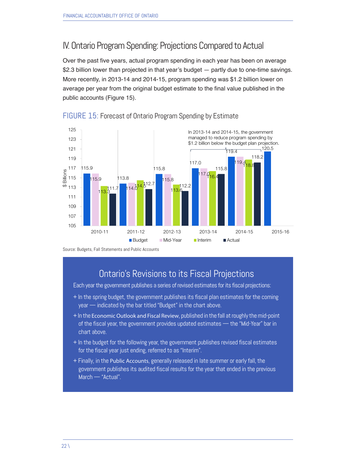### IV. Ontario Program Spending: Projections Compared to Actual

Over the past five years, actual program spending in each year has been on average \$2.3 billion lower than projected in that year's budget — partly due to one-time savings. More recently, in 2013-14 and 2014-15, program spending was \$1.2 billion lower on average per year from the original budget estimate to the final value published in the public accounts (Figure 15).



#### FIGURE 15: Forecast of Ontario Program Spending by Estimate

Source: Budgets, Fall Statements and Public Accounts

## Ontario's Revisions to its Fiscal Projections

Each year the government publishes a series of revised estimates for its fiscal projections:

- + In the spring budget, the government publishes its fiscal plan estimates for the coming year — indicated by the bar titled "Budget" in the chart above.
- + In the Economic Outlook and Fiscal Review, published in the fall at roughly the mid-point of the fiscal year, the government provides updated estimates — the "Mid-Year" bar in chart above.
- + In the budget for the following year, the government publishes revised fiscal estimates for the fiscal year just ending, referred to as "Interim".
- + Finally, in the Public Accounts, generally released in late summer or early fall, the government publishes its audited fiscal results for the year that ended in the previous March — "Actual".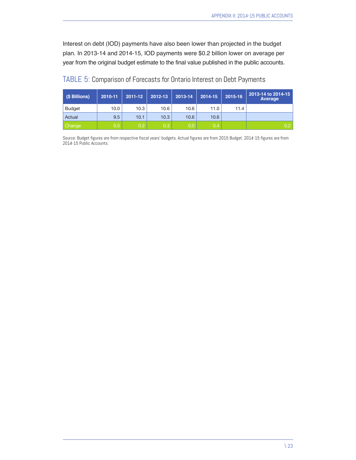Interest on debt (IOD) payments have also been lower than projected in the budget plan. In 2013-14 and 2014-15, IOD payments were \$0.2 billion lower on average per year from the original budget estimate to the final value published in the public accounts.

| (\$ Billions) | 2010-11           | 2011-12 | 2012-13          | 2013-14 | 2014-15 | 2015-16 | 2013-14 to 2014-15<br>Average |
|---------------|-------------------|---------|------------------|---------|---------|---------|-------------------------------|
| <b>Budget</b> | 10.0 <sub>1</sub> | 10.3    | 10.6             | 10.6    | 11.0    | 11.4    |                               |
| Actual        | 9.5               | 10.1    | 10.3             | 10.6    | 10.6    |         |                               |
| Change        | 0.5 <sub>1</sub>  | 0.2     | 0.3 <sub>2</sub> | 0.0     | 0.4     |         | 0.2                           |

#### TABLE 5: Comparison of Forecasts for Ontario Interest on Debt Payments

Source: Budget figures are from respective fiscal years' budgets. Actual figures are from 2015 Budget. 2014-15 figures are from 2014-15 Public Accounts.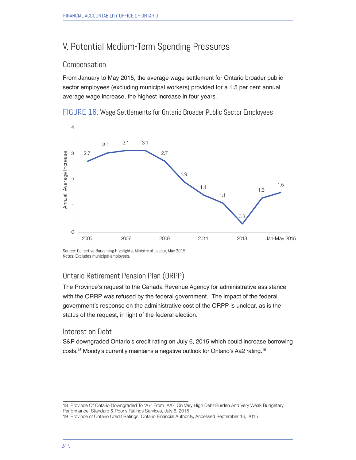# V. Potential Medium-Term Spending Pressures

#### Compensation

From January to May 2015, the average wage settlement for Ontario broader public sector employees (excluding municipal workers) provided for a 1.5 per cent annual average wage increase, the highest increase in four years.

FIGURE 16: Wage Settlements for Ontario Broader Public Sector Employees



Source: Collective Bargaining Highlights, Ministry of Labour, May 2015 Notes: Excludes municipal employees.

#### Ontario Retirement Pension Plan (ORPP)

The Province's request to the Canada Revenue Agency for administrative assistance with the ORRP was refused by the federal government. The impact of the federal government's response on the administrative cost of the ORPP is unclear, as is the status of the request, in light of the federal election.

#### Interest on Debt

S&P downgraded Ontario's credit rating on July 6, 2015 which could increase borrowing costs.18 Moody's currently maintains a negative outlook for Ontario's Aa2 rating.19

<sup>18</sup> Province Of Ontario Downgraded To 'A+' From 'AA-' On Very High Debt Burden And Very Weak Budgetary Performance, Standard & Poor's Ratings Services, July 6, 2015

<sup>19</sup> Province of Ontario Credit Ratings, Ontario Financial Authority, Accessed September 16, 2015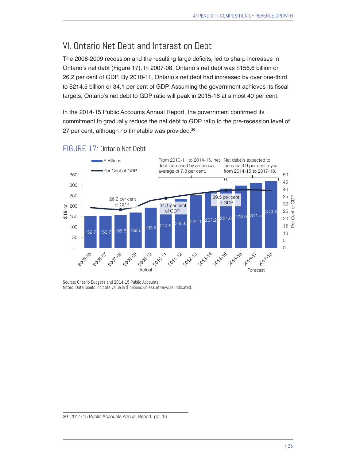# VI. Ontario Net Debt and Interest on Debt

The 2008-2009 recession and the resulting large deficits, led to sharp increases in Ontario's net debt (Figure 17). In 2007-08, Ontario's net debt was \$156.6 billion or 26.2 per cent of GDP. By 2010-11, Ontario's net debt had increased by over one-third to \$214.5 billion or 34.1 per cent of GDP. Assuming the government achieves its fiscal targets, Ontario's net debt to GDP ratio will peak in 2015-16 at almost 40 per cent.

In the 2014-15 Public Accounts Annual Report, the government confirmed its commitment to gradually reduce the net debt to GDP ratio to the pre-recession level of 27 per cent, although no timetable was provided.<sup>20</sup>



#### FIGURE 17: Ontario Net Debt

Source: Ontario Budgets and 2014-15 Public Accounts Notes: Data labels indicate value in \$ billions unless otherwise indicated.

20 2014-15 Public Accounts Annual Report, pp. 16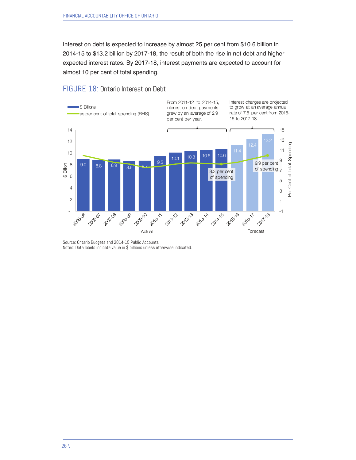Interest on debt is expected to increase by almost 25 per cent from \$10.6 billion in 2014-15 to \$13.2 billion by 2017-18, the result of both the rise in net debt and higher expected interest rates. By 2017-18, interest payments are expected to account for almost 10 per cent of total spending.

#### FIGURE 18: Ontario Interest on Debt



Source: Ontario Budgets and 2014-15 Public Accounts Notes: Data labels indicate value in \$ billions unless otherwise indicated.